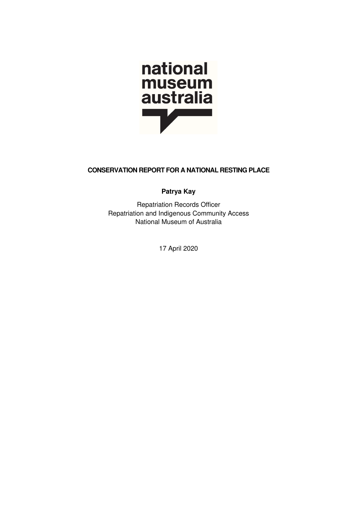

# CONSERVATION REPORT FOR A NATIONAL RESTING PLACE

Patrya Kay

Repatriation Records Officer Repatriation and Indigenous Community Access National Museum of Australia

17 April 2020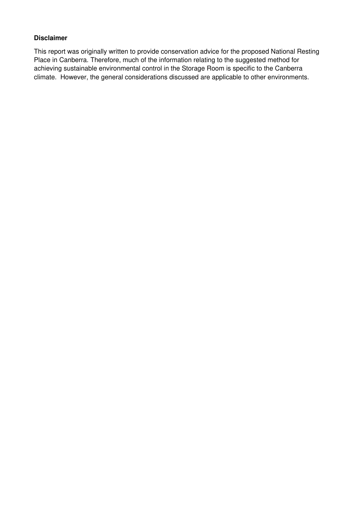### Disclaimer

This report was originally written to provide conservation advice for the proposed National Resting Place in Canberra. Therefore, much of the information relating to the suggested method for achieving sustainable environmental control in the Storage Room is specific to the Canberra climate. However, the general considerations discussed are applicable to other environments.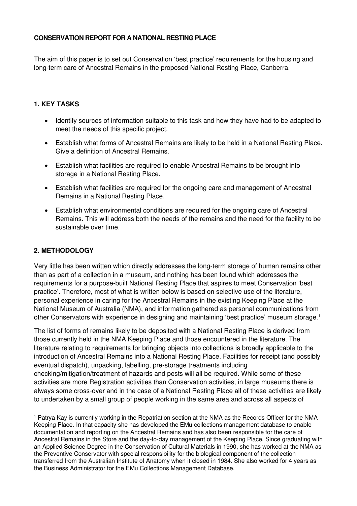### CONSERVATION REPORT FOR A NATIONAL RESTING PLACE

The aim of this paper is to set out Conservation 'best practice' requirements for the housing and long-term care of Ancestral Remains in the proposed National Resting Place, Canberra.

### 1. KEY TASKS

- Identify sources of information suitable to this task and how they have had to be adapted to meet the needs of this specific project.
- Establish what forms of Ancestral Remains are likely to be held in a National Resting Place. Give a definition of Ancestral Remains.
- Establish what facilities are required to enable Ancestral Remains to be brought into storage in a National Resting Place.
- Establish what facilities are required for the ongoing care and management of Ancestral Remains in a National Resting Place.
- Establish what environmental conditions are required for the ongoing care of Ancestral Remains. This will address both the needs of the remains and the need for the facility to be sustainable over time.

### 2. METHODOLOGY

Very little has been written which directly addresses the long-term storage of human remains other than as part of a collection in a museum, and nothing has been found which addresses the requirements for a purpose-built National Resting Place that aspires to meet Conservation 'best practice'. Therefore, most of what is written below is based on selective use of the literature, personal experience in caring for the Ancestral Remains in the existing Keeping Place at the National Museum of Australia (NMA), and information gathered as personal communications from other Conservators with experience in designing and maintaining 'best practice' museum storage.1

The list of forms of remains likely to be deposited with a National Resting Place is derived from those currently held in the NMA Keeping Place and those encountered in the literature. The literature relating to requirements for bringing objects into collections is broadly applicable to the introduction of Ancestral Remains into a National Resting Place. Facilities for receipt (and possibly eventual dispatch), unpacking, labelling, pre-storage treatments including checking/mitigation/treatment of hazards and pests will all be required. While some of these activities are more Registration activities than Conservation activities, in large museums there is always some cross-over and in the case of a National Resting Place all of these activities are likely to undertaken by a small group of people working in the same area and across all aspects of

<sup>1</sup> Patrya Kay is currently working in the Repatriation section at the NMA as the Records Officer for the NMA Keeping Place. In that capacity she has developed the EMu collections management database to enable documentation and reporting on the Ancestral Remains and has also been responsible for the care of Ancestral Remains in the Store and the day-to-day management of the Keeping Place. Since graduating with an Applied Science Degree in the Conservation of Cultural Materials in 1990, she has worked at the NMA as the Preventive Conservator with special responsibility for the biological component of the collection transferred from the Australian Institute of Anatomy when it closed in 1984. She also worked for 4 years as the Business Administrator for the EMu Collections Management Database.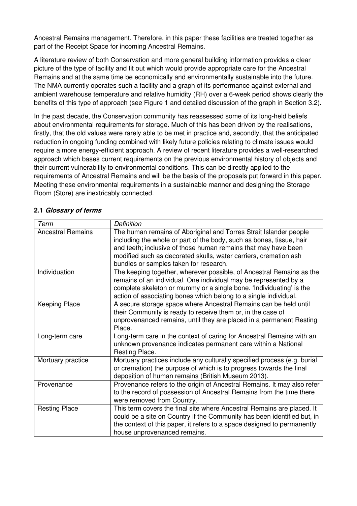Ancestral Remains management. Therefore, in this paper these facilities are treated together as part of the Receipt Space for incoming Ancestral Remains.

A literature review of both Conservation and more general building information provides a clear picture of the type of facility and fit out which would provide appropriate care for the Ancestral Remains and at the same time be economically and environmentally sustainable into the future. The NMA currently operates such a facility and a graph of its performance against external and ambient warehouse temperature and relative humidity (RH) over a 6-week period shows clearly the benefits of this type of approach (see Figure 1 and detailed discussion of the graph in Section 3.2).

In the past decade, the Conservation community has reassessed some of its long-held beliefs about environmental requirements for storage. Much of this has been driven by the realisations, firstly, that the old values were rarely able to be met in practice and, secondly, that the anticipated reduction in ongoing funding combined with likely future policies relating to climate issues would require a more energy-efficient approach. A review of recent literature provides a well-researched approach which bases current requirements on the previous environmental history of objects and their current vulnerability to environmental conditions. This can be directly applied to the requirements of Ancestral Remains and will be the basis of the proposals put forward in this paper. Meeting these environmental requirements in a sustainable manner and designing the Storage Room (Store) are inextricably connected.

| Term                     | <b>Definition</b>                                                        |
|--------------------------|--------------------------------------------------------------------------|
| <b>Ancestral Remains</b> | The human remains of Aboriginal and Torres Strait Islander people        |
|                          | including the whole or part of the body, such as bones, tissue, hair     |
|                          | and teeth; inclusive of those human remains that may have been           |
|                          | modified such as decorated skulls, water carriers, cremation ash         |
|                          | bundles or samples taken for research.                                   |
| Individuation            | The keeping together, wherever possible, of Ancestral Remains as the     |
|                          | remains of an individual. One individual may be represented by a         |
|                          | complete skeleton or mummy or a single bone. 'Individuating' is the      |
|                          | action of associating bones which belong to a single individual.         |
| <b>Keeping Place</b>     | A secure storage space where Ancestral Remains can be held until         |
|                          | their Community is ready to receive them or, in the case of              |
|                          | unprovenanced remains, until they are placed in a permanent Resting      |
|                          | Place.                                                                   |
| Long-term care           | Long-term care in the context of caring for Ancestral Remains with an    |
|                          | unknown provenance indicates permanent care within a National            |
|                          | Resting Place.                                                           |
| Mortuary practice        | Mortuary practices include any culturally specified process (e.g. burial |
|                          | or cremation) the purpose of which is to progress towards the final      |
|                          | deposition of human remains (British Museum 2013).                       |
| Provenance               | Provenance refers to the origin of Ancestral Remains. It may also refer  |
|                          | to the record of possession of Ancestral Remains from the time there     |
|                          | were removed from Country.                                               |
| <b>Resting Place</b>     | This term covers the final site where Ancestral Remains are placed. It   |
|                          | could be a site on Country if the Community has been identified but, in  |
|                          | the context of this paper, it refers to a space designed to permanently  |
|                          | house unprovenanced remains.                                             |

### 2.1 Glossary of terms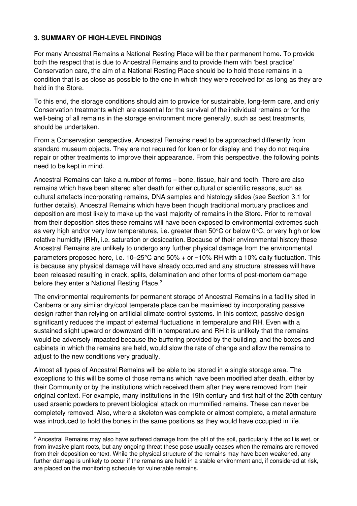### 3. SUMMARY OF HIGH-LEVEL FINDINGS

For many Ancestral Remains a National Resting Place will be their permanent home. To provide both the respect that is due to Ancestral Remains and to provide them with 'best practice' Conservation care, the aim of a National Resting Place should be to hold those remains in a condition that is as close as possible to the one in which they were received for as long as they are held in the Store.

To this end, the storage conditions should aim to provide for sustainable, long-term care, and only Conservation treatments which are essential for the survival of the individual remains or for the well-being of all remains in the storage environment more generally, such as pest treatments, should be undertaken.

From a Conservation perspective, Ancestral Remains need to be approached differently from standard museum objects. They are not required for loan or for display and they do not require repair or other treatments to improve their appearance. From this perspective, the following points need to be kept in mind.

Ancestral Remains can take a number of forms – bone, tissue, hair and teeth. There are also remains which have been altered after death for either cultural or scientific reasons, such as cultural artefacts incorporating remains, DNA samples and histology slides (see Section 3.1 for further details). Ancestral Remains which have been though traditional mortuary practices and deposition are most likely to make up the vast majority of remains in the Store. Prior to removal from their deposition sites these remains will have been exposed to environmental extremes such as very high and/or very low temperatures, i.e. greater than 50°C or below 0°C, or very high or low relative humidity (RH), i.e. saturation or desiccation. Because of their environmental history these Ancestral Remains are unlikely to undergo any further physical damage from the environmental parameters proposed here, i.e. 10–25°C and 50% + or −10% RH with a 10% daily fluctuation. This is because any physical damage will have already occurred and any structural stresses will have been released resulting in crack, splits, delamination and other forms of post-mortem damage before they enter a National Resting Place.<sup>2</sup>

The environmental requirements for permanent storage of Ancestral Remains in a facility sited in Canberra or any similar dry/cool temperate place can be maximised by incorporating passive design rather than relying on artificial climate-control systems. In this context, passive design significantly reduces the impact of external fluctuations in temperature and RH. Even with a sustained slight upward or downward drift in temperature and RH it is unlikely that the remains would be adversely impacted because the buffering provided by the building, and the boxes and cabinets in which the remains are held, would slow the rate of change and allow the remains to adjust to the new conditions very gradually.

Almost all types of Ancestral Remains will be able to be stored in a single storage area. The exceptions to this will be some of those remains which have been modified after death, either by their Community or by the institutions which received them after they were removed from their original context. For example, many institutions in the 19th century and first half of the 20th century used arsenic powders to prevent biological attack on mummified remains. These can never be completely removed. Also, where a skeleton was complete or almost complete, a metal armature was introduced to hold the bones in the same positions as they would have occupied in life.

<sup>&</sup>lt;sup>2</sup> Ancestral Remains may also have suffered damage from the pH of the soil, particularly if the soil is wet, or from invasive plant roots, but any ongoing threat these pose usually ceases when the remains are removed from their deposition context. While the physical structure of the remains may have been weakened, any further damage is unlikely to occur if the remains are held in a stable environment and, if considered at risk, are placed on the monitoring schedule for vulnerable remains.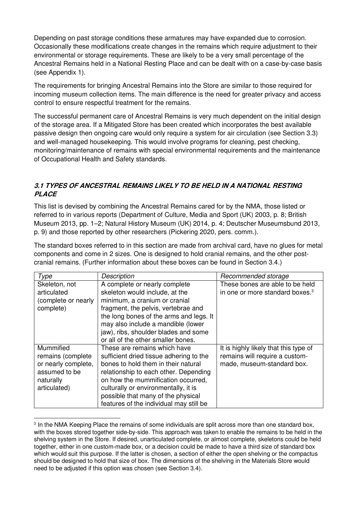Depending on past storage conditions these armatures may have expanded due to corrosion. Occasionally these modifications create changes in the remains which require adjustment to their environmental or storage requirements. These are likely to be a very small percentage of the Ancestral Remains held in a National Resting Place and can be dealt with on a case-by-case basis (see Appendix 1).

The requirements for bringing Ancestral Remains into the Store are similar to those required for incoming museum collection items. The main difference is the need for greater privacy and access control to ensure respectful treatment for the remains.

The successful permanent care of Ancestral Remains is very much dependent on the initial design of the storage area. If a Mitigated Store has been created which incorporates the best available passive design then ongoing care would only require a system for air circulation (see Section 3.3) and well-managed housekeeping. This would involve programs for cleaning, pest checking, monitoring/maintenance of remains with special environmental requirements and the maintenance of Occupational Health and Safety standards.

# 3.1 TYPES OF ANCESTRAL REMAINS LIKELY TO BE HELD IN A NATIONAL RESTING **PLACE**

This list is devised by combining the Ancestral Remains cared for by the NMA, those listed or referred to in various reports (Department of Culture, Media and Sport (UK) 2003, p. 8; British Museum 2013, pp. 1–2; Natural History Museum (UK) 2014, p. 4; Deutscher Museumsbund 2013, p. 9) and those reported by other researchers (Pickering 2020, pers. comm.).

The standard boxes referred to in this section are made from archival card, have no glues for metal components and come in 2 sizes. One is designed to hold cranial remains, and the other postcranial remains. (Further information about these boxes can be found in Section 3.4.)

| Type                | Description                             | Recommended storage                         |
|---------------------|-----------------------------------------|---------------------------------------------|
| Skeleton, not       | A complete or nearly complete           | These bones are able to be held             |
| articulated         | skeleton would include, at the          | in one or more standard boxes. <sup>3</sup> |
| (complete or nearly | minimum, a cranium or cranial           |                                             |
| complete)           | fragment, the pelvis, vertebrae and     |                                             |
|                     | the long bones of the arms and legs. It |                                             |
|                     | may also include a mandible (lower      |                                             |
|                     | jaw), ribs, shoulder blades and some    |                                             |
|                     | or all of the other smaller bones.      |                                             |
| Mummified           | These are remains which have            | It is highly likely that this type of       |
| remains (complete   | sufficient dried tissue adhering to the | remains will require a custom-              |
| or nearly complete, | bones to hold them in their natural     | made, museum-standard box.                  |
| assumed to be       | relationship to each other. Depending   |                                             |
| naturally           | on how the mummification occurred,      |                                             |
| articulated)        | culturally or environmentally, it is    |                                             |
|                     | possible that many of the physical      |                                             |
|                     | features of the individual may still be |                                             |

<sup>&</sup>lt;sup>3</sup> In the NMA Keeping Place the remains of some individuals are split across more than one standard box, with the boxes stored together side-by-side. This approach was taken to enable the remains to be held in the shelving system in the Store. If desired, unarticulated complete, or almost complete, skeletons could be held together, either in one custom-made box, or a decision could be made to have a third size of standard box which would suit this purpose. If the latter is chosen, a section of either the open shelving or the compactus should be designed to hold that size of box. The dimensions of the shelving in the Materials Store would need to be adjusted if this option was chosen (see Section 3.4).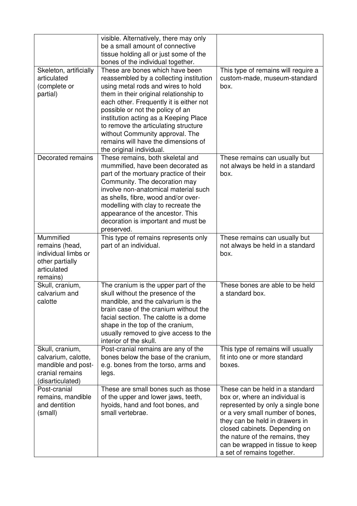|                                                                                                     | visible. Alternatively, there may only<br>be a small amount of connective<br>tissue holding all or just some of the<br>bones of the individual together.                                                                                                                                                                                                                                                                         |                                                                                                                                                                                                                                                                                                                    |
|-----------------------------------------------------------------------------------------------------|----------------------------------------------------------------------------------------------------------------------------------------------------------------------------------------------------------------------------------------------------------------------------------------------------------------------------------------------------------------------------------------------------------------------------------|--------------------------------------------------------------------------------------------------------------------------------------------------------------------------------------------------------------------------------------------------------------------------------------------------------------------|
| Skeleton, artificially<br>articulated<br>(complete or<br>partial)                                   | These are bones which have been<br>reassembled by a collecting institution<br>using metal rods and wires to hold<br>them in their original relationship to<br>each other. Frequently it is either not<br>possible or not the policy of an<br>institution acting as a Keeping Place<br>to remove the articulating structure<br>without Community approval. The<br>remains will have the dimensions of<br>the original individual. | This type of remains will require a<br>custom-made, museum-standard<br>box.                                                                                                                                                                                                                                        |
| Decorated remains                                                                                   | These remains, both skeletal and<br>mummified, have been decorated as<br>part of the mortuary practice of their<br>Community. The decoration may<br>involve non-anatomical material such<br>as shells, fibre, wood and/or over-<br>modelling with clay to recreate the<br>appearance of the ancestor. This<br>decoration is important and must be<br>preserved.                                                                  | These remains can usually but<br>not always be held in a standard<br>box.                                                                                                                                                                                                                                          |
| Mummified<br>remains (head,<br>individual limbs or<br>other partially<br>articulated<br>remains)    | This type of remains represents only<br>part of an individual.                                                                                                                                                                                                                                                                                                                                                                   | These remains can usually but<br>not always be held in a standard<br>box.                                                                                                                                                                                                                                          |
| Skull, cranium,<br>calvarium and<br>calotte                                                         | The cranium is the upper part of the<br>skull without the presence of the<br>mandible, and the calvarium is the<br>brain case of the cranium without the<br>facial section. The calotte is a dome<br>shape in the top of the cranium,<br>usually removed to give access to the<br>interior of the skull.                                                                                                                         | These bones are able to be held<br>a standard box.                                                                                                                                                                                                                                                                 |
| Skull, cranium,<br>calvarium, calotte,<br>mandible and post-<br>cranial remains<br>(disarticulated) | Post-cranial remains are any of the<br>bones below the base of the cranium,<br>e.g. bones from the torso, arms and<br>legs.                                                                                                                                                                                                                                                                                                      | This type of remains will usually<br>fit into one or more standard<br>boxes.                                                                                                                                                                                                                                       |
| Post-cranial<br>remains, mandible<br>and dentition<br>(small)                                       | These are small bones such as those<br>of the upper and lower jaws, teeth,<br>hyoids, hand and foot bones, and<br>small vertebrae.                                                                                                                                                                                                                                                                                               | These can be held in a standard<br>box or, where an individual is<br>represented by only a single bone<br>or a very small number of bones,<br>they can be held in drawers in<br>closed cabinets. Depending on<br>the nature of the remains, they<br>can be wrapped in tissue to keep<br>a set of remains together. |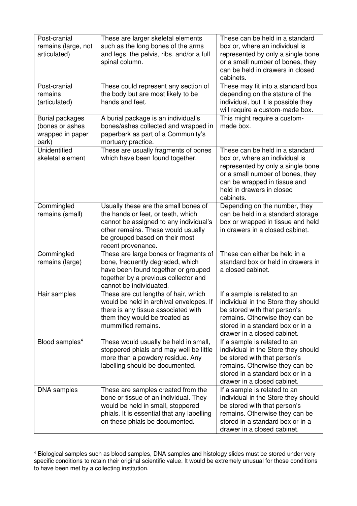| Post-cranial<br>remains (large, not<br>articulated)                    | These are larger skeletal elements<br>such as the long bones of the arms<br>and legs, the pelvis, ribs, and/or a full<br>spinal column.                                                                            | These can be held in a standard<br>box or, where an individual is<br>represented by only a single bone<br>or a small number of bones, they<br>can be held in drawers in closed<br>cabinets.                          |  |
|------------------------------------------------------------------------|--------------------------------------------------------------------------------------------------------------------------------------------------------------------------------------------------------------------|----------------------------------------------------------------------------------------------------------------------------------------------------------------------------------------------------------------------|--|
| Post-cranial<br>remains<br>(articulated)                               | These could represent any section of<br>the body but are most likely to be<br>hands and feet.                                                                                                                      | These may fit into a standard box<br>depending on the stature of the<br>individual, but it is possible they<br>will require a custom-made box.                                                                       |  |
| <b>Burial packages</b><br>(bones or ashes<br>wrapped in paper<br>bark) | A burial package is an individual's<br>bones/ashes collected and wrapped in<br>paperbark as part of a Community's<br>mortuary practice.                                                                            | This might require a custom-<br>made box.                                                                                                                                                                            |  |
| Unidentified<br>skeletal element                                       | These are usually fragments of bones<br>which have been found together.                                                                                                                                            | These can be held in a standard<br>box or, where an individual is<br>represented by only a single bone<br>or a small number of bones, they<br>can be wrapped in tissue and<br>held in drawers in closed<br>cabinets. |  |
| Commingled<br>remains (small)                                          | Usually these are the small bones of<br>the hands or feet, or teeth, which<br>cannot be assigned to any individual's<br>other remains. These would usually<br>be grouped based on their most<br>recent provenance. | Depending on the number, they<br>can be held in a standard storage<br>box or wrapped in tissue and held<br>in drawers in a closed cabinet.                                                                           |  |
| Commingled<br>remains (large)                                          | These are large bones or fragments of<br>bone, frequently degraded, which<br>have been found together or grouped<br>together by a previous collector and<br>cannot be individuated.                                | These can either be held in a<br>standard box or held in drawers in<br>a closed cabinet.                                                                                                                             |  |
| Hair samples                                                           | These are cut lengths of hair, which<br>would be held in archival envelopes. If<br>there is any tissue associated with<br>them they would be treated as<br>mummified remains.                                      | If a sample is related to an<br>individual in the Store they should<br>be stored with that person's<br>remains. Otherwise they can be<br>stored in a standard box or in a<br>drawer in a closed cabinet.             |  |
| Blood samples <sup>4</sup>                                             | These would usually be held in small,<br>stoppered phials and may well be little<br>more than a powdery residue. Any<br>labelling should be documented.                                                            | If a sample is related to an<br>individual in the Store they should<br>be stored with that person's<br>remains. Otherwise they can be<br>stored in a standard box or in a<br>drawer in a closed cabinet.             |  |
| DNA samples                                                            | These are samples created from the<br>bone or tissue of an individual. They<br>would be held in small, stoppered<br>phials. It is essential that any labelling<br>on these phials be documented.                   | If a sample is related to an<br>individual in the Store they should<br>be stored with that person's<br>remains. Otherwise they can be<br>stored in a standard box or in a<br>drawer in a closed cabinet.             |  |

 $^4$  Biological samples such as blood samples, DNA samples and histology slides must be stored under very specific conditions to retain their original scientific value. It would be extremely unusual for those conditions to have been met by a collecting institution.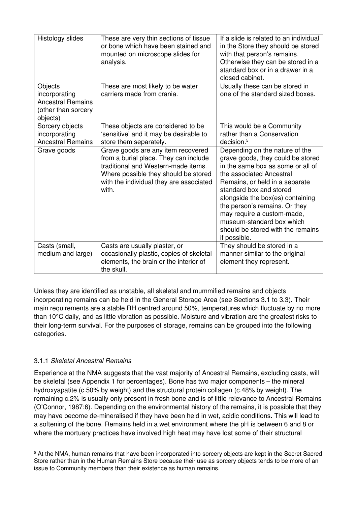| Histology slides                                                                        | These are very thin sections of tissue<br>or bone which have been stained and<br>mounted on microscope slides for<br>analysis.                                                                                 | If a slide is related to an individual<br>in the Store they should be stored<br>with that person's remains.<br>Otherwise they can be stored in a<br>standard box or in a drawer in a<br>closed cabinet.                                                                                                                                                                                |  |
|-----------------------------------------------------------------------------------------|----------------------------------------------------------------------------------------------------------------------------------------------------------------------------------------------------------------|----------------------------------------------------------------------------------------------------------------------------------------------------------------------------------------------------------------------------------------------------------------------------------------------------------------------------------------------------------------------------------------|--|
| Objects<br>incorporating<br><b>Ancestral Remains</b><br>(other than sorcery<br>objects) | These are most likely to be water<br>carriers made from crania.                                                                                                                                                | Usually these can be stored in<br>one of the standard sized boxes.                                                                                                                                                                                                                                                                                                                     |  |
| Sorcery objects<br>incorporating<br><b>Ancestral Remains</b>                            | These objects are considered to be<br>'sensitive' and it may be desirable to<br>store them separately.                                                                                                         | This would be a Community<br>rather than a Conservation<br>decision. <sup>5</sup>                                                                                                                                                                                                                                                                                                      |  |
| Grave goods                                                                             | Grave goods are any item recovered<br>from a burial place. They can include<br>traditional and Western-made items.<br>Where possible they should be stored<br>with the individual they are associated<br>with. | Depending on the nature of the<br>grave goods, they could be stored<br>in the same box as some or all of<br>the associated Ancestral<br>Remains, or held in a separate<br>standard box and stored<br>alongside the box(es) containing<br>the person's remains. Or they<br>may require a custom-made,<br>museum-standard box which<br>should be stored with the remains<br>if possible. |  |
| Casts (small,<br>medium and large)                                                      | Casts are usually plaster, or<br>occasionally plastic, copies of skeletal<br>elements, the brain or the interior of<br>the skull.                                                                              | They should be stored in a<br>manner similar to the original<br>element they represent.                                                                                                                                                                                                                                                                                                |  |

Unless they are identified as unstable, all skeletal and mummified remains and objects incorporating remains can be held in the General Storage Area (see Sections 3.1 to 3.3). Their main requirements are a stable RH centred around 50%, temperatures which fluctuate by no more than 10°C daily, and as little vibration as possible. Moisture and vibration are the greatest risks to their long-term survival. For the purposes of storage, remains can be grouped into the following categories.

# 3.1.1 *Skeletal Ancestral Remains*

Experience at the NMA suggests that the vast majority of Ancestral Remains, excluding casts, will be skeletal (see Appendix 1 for percentages). Bone has two major components – the mineral hydroxyapatite (c.50% by weight) and the structural protein collagen (c.48% by weight). The remaining c.2% is usually only present in fresh bone and is of little relevance to Ancestral Remains (O'Connor, 1987:6). Depending on the environmental history of the remains, it is possible that they may have become de-mineralised if they have been held in wet, acidic conditions. This will lead to a softening of the bone. Remains held in a wet environment where the pH is between 6 and 8 or where the mortuary practices have involved high heat may have lost some of their structural

<sup>&</sup>lt;sup>5</sup> At the NMA, human remains that have been incorporated into sorcery objects are kept in the Secret Sacred Store rather than in the Human Remains Store because their use as sorcery objects tends to be more of an issue to Community members than their existence as human remains.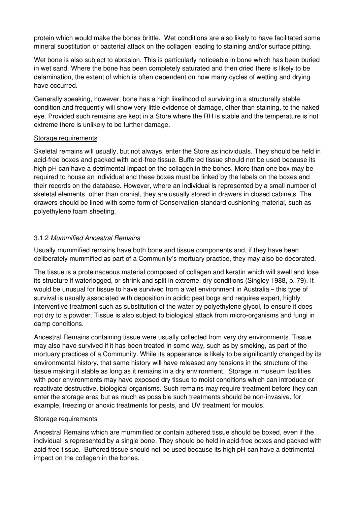protein which would make the bones brittle. Wet conditions are also likely to have facilitated some mineral substitution or bacterial attack on the collagen leading to staining and/or surface pitting.

Wet bone is also subject to abrasion. This is particularly noticeable in bone which has been buried in wet sand. Where the bone has been completely saturated and then dried there is likely to be delamination, the extent of which is often dependent on how many cycles of wetting and drying have occurred.

Generally speaking, however, bone has a high likelihood of surviving in a structurally stable condition and frequently will show very little evidence of damage, other than staining, to the naked eye. Provided such remains are kept in a Store where the RH is stable and the temperature is not extreme there is unlikely to be further damage.

#### Storage requirements

Skeletal remains will usually, but not always, enter the Store as individuals. They should be held in acid-free boxes and packed with acid-free tissue. Buffered tissue should not be used because its high pH can have a detrimental impact on the collagen in the bones. More than one box may be required to house an individual and these boxes must be linked by the labels on the boxes and their records on the database. However, where an individual is represented by a small number of skeletal elements, other than cranial, they are usually stored in drawers in closed cabinets. The drawers should be lined with some form of Conservation-standard cushioning material, such as polyethylene foam sheeting.

## 3.1.2 *Mummified Ancestral Remains*

Usually mummified remains have both bone and tissue components and, if they have been deliberately mummified as part of a Community's mortuary practice, they may also be decorated.

The tissue is a proteinaceous material composed of collagen and keratin which will swell and lose its structure if waterlogged, or shrink and split in extreme, dry conditions (Singley 1988, p. 79). It would be unusual for tissue to have survived from a wet environment in Australia – this type of survival is usually associated with deposition in acidic peat bogs and requires expert, highly interventive treatment such as substitution of the water by polyethylene glycol, to ensure it does not dry to a powder. Tissue is also subject to biological attack from micro-organisms and fungi in damp conditions.

Ancestral Remains containing tissue were usually collected from very dry environments. Tissue may also have survived if it has been treated in some way, such as by smoking, as part of the mortuary practices of a Community. While its appearance is likely to be significantly changed by its environmental history, that same history will have released any tensions in the structure of the tissue making it stable as long as it remains in a dry environment. Storage in museum facilities with poor environments may have exposed dry tissue to moist conditions which can introduce or reactivate destructive, biological organisms. Such remains may require treatment before they can enter the storage area but as much as possible such treatments should be non-invasive, for example, freezing or anoxic treatments for pests, and UV treatment for moulds.

### Storage requirements

Ancestral Remains which are mummified or contain adhered tissue should be boxed, even if the individual is represented by a single bone. They should be held in acid-free boxes and packed with acid-free tissue. Buffered tissue should not be used because its high pH can have a detrimental impact on the collagen in the bones.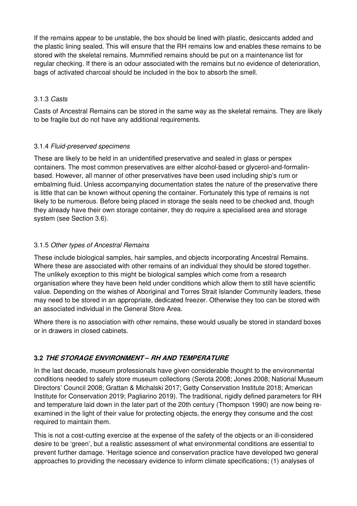If the remains appear to be unstable, the box should be lined with plastic, desiccants added and the plastic lining sealed. This will ensure that the RH remains low and enables these remains to be stored with the skeletal remains. Mummified remains should be put on a maintenance list for regular checking. If there is an odour associated with the remains but no evidence of deterioration, bags of activated charcoal should be included in the box to absorb the smell.

### 3.1.3 *Casts*

Casts of Ancestral Remains can be stored in the same way as the skeletal remains. They are likely to be fragile but do not have any additional requirements.

## 3.1.4 *Fluid-preserved specimens*

These are likely to be held in an unidentified preservative and sealed in glass or perspex containers. The most common preservatives are either alcohol-based or glycerol-and-formalinbased. However, all manner of other preservatives have been used including ship's rum or embalming fluid. Unless accompanying documentation states the nature of the preservative there is little that can be known without opening the container. Fortunately this type of remains is not likely to be numerous. Before being placed in storage the seals need to be checked and, though they already have their own storage container, they do require a specialised area and storage system (see Section 3.6).

## 3.1.5 *Other types of Ancestral Remains*

These include biological samples, hair samples, and objects incorporating Ancestral Remains. Where these are associated with other remains of an individual they should be stored together. The unlikely exception to this might be biological samples which come from a research organisation where they have been held under conditions which allow them to still have scientific value. Depending on the wishes of Aboriginal and Torres Strait Islander Community leaders, these may need to be stored in an appropriate, dedicated freezer. Otherwise they too can be stored with an associated individual in the General Store Area.

Where there is no association with other remains, these would usually be stored in standard boxes or in drawers in closed cabinets.

# 3.2 THE STORAGE ENVIRONMENT *–* RH AND TEMPERATURE

In the last decade, museum professionals have given considerable thought to the environmental conditions needed to safely store museum collections (Serota 2008; Jones 2008; National Museum Directors' Council 2008; Grattan & Michalski 2017; Getty Conservation Institute 2018; American Institute for Conservation 2019; Pagliarino 2019). The traditional, rigidly defined parameters for RH and temperature laid down in the later part of the 20th century (Thompson 1990) are now being reexamined in the light of their value for protecting objects, the energy they consume and the cost required to maintain them.

This is not a cost-cutting exercise at the expense of the safety of the objects or an ill-considered desire to be 'green', but a realistic assessment of what environmental conditions are essential to prevent further damage. 'Heritage science and conservation practice have developed two general approaches to providing the necessary evidence to inform climate specifications; (1) analyses of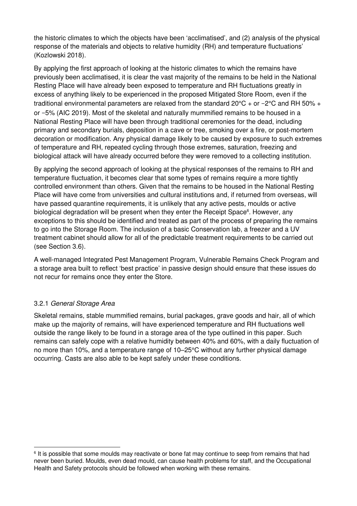the historic climates to which the objects have been 'acclimatised', and (2) analysis of the physical response of the materials and objects to relative humidity (RH) and temperature fluctuations' (Kozlowski 2018).

By applying the first approach of looking at the historic climates to which the remains have previously been acclimatised, it is clear the vast majority of the remains to be held in the National Resting Place will have already been exposed to temperature and RH fluctuations greatly in excess of anything likely to be experienced in the proposed Mitigated Store Room, even if the traditional environmental parameters are relaxed from the standard 20°C + or −2°C and RH 50% + or −5% (AIC 2019). Most of the skeletal and naturally mummified remains to be housed in a National Resting Place will have been through traditional ceremonies for the dead, including primary and secondary burials, deposition in a cave or tree, smoking over a fire, or post-mortem decoration or modification. Any physical damage likely to be caused by exposure to such extremes of temperature and RH, repeated cycling through those extremes, saturation, freezing and biological attack will have already occurred before they were removed to a collecting institution.

By applying the second approach of looking at the physical responses of the remains to RH and temperature fluctuation, it becomes clear that some types of remains require a more tightly controlled environment than others. Given that the remains to be housed in the National Resting Place will have come from universities and cultural institutions and, if returned from overseas, will have passed quarantine requirements, it is unlikely that any active pests, moulds or active biological degradation will be present when they enter the Receipt Space<sup>6</sup>. However, any exceptions to this should be identified and treated as part of the process of preparing the remains to go into the Storage Room. The inclusion of a basic Conservation lab, a freezer and a UV treatment cabinet should allow for all of the predictable treatment requirements to be carried out (see Section 3.6).

A well-managed Integrated Pest Management Program, Vulnerable Remains Check Program and a storage area built to reflect 'best practice' in passive design should ensure that these issues do not recur for remains once they enter the Store.

### 3.2.1 *General Storage Area*

Skeletal remains, stable mummified remains, burial packages, grave goods and hair, all of which make up the majority of remains, will have experienced temperature and RH fluctuations well outside the range likely to be found in a storage area of the type outlined in this paper. Such remains can safely cope with a relative humidity between 40% and 60%, with a daily fluctuation of no more than 10%, and a temperature range of 10–25°C without any further physical damage occurring. Casts are also able to be kept safely under these conditions.

<sup>&</sup>lt;sup>6</sup> It is possible that some moulds may reactivate or bone fat may continue to seep from remains that had never been buried. Moulds, even dead mould, can cause health problems for staff, and the Occupational Health and Safety protocols should be followed when working with these remains.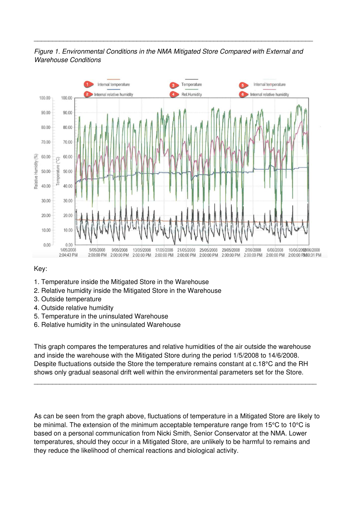

\_\_\_\_\_\_\_\_\_\_\_\_\_\_\_\_\_\_\_\_\_\_\_\_\_\_\_\_\_\_\_\_\_\_\_\_\_\_\_\_\_\_\_\_\_\_\_\_\_\_\_\_\_\_\_\_\_\_\_\_\_\_\_\_\_\_\_\_\_\_\_\_\_\_\_\_



#### Key:

- 1. Temperature inside the Mitigated Store in the Warehouse
- 2. Relative humidity inside the Mitigated Store in the Warehouse
- 3. Outside temperature
- 4. Outside relative humidity
- 5. Temperature in the uninsulated Warehouse
- 6. Relative humidity in the uninsulated Warehouse

This graph compares the temperatures and relative humidities of the air outside the warehouse and inside the warehouse with the Mitigated Store during the period 1/5/2008 to 14/6/2008. Despite fluctuations outside the Store the temperature remains constant at c.18°C and the RH shows only gradual seasonal drift well within the environmental parameters set for the Store.

\_\_\_\_\_\_\_\_\_\_\_\_\_\_\_\_\_\_\_\_\_\_\_\_\_\_\_\_\_\_\_\_\_\_\_\_\_\_\_\_\_\_\_\_\_\_\_\_\_\_\_\_\_\_\_\_\_\_\_\_\_\_\_\_\_\_\_\_\_\_\_\_\_\_\_\_\_

As can be seen from the graph above, fluctuations of temperature in a Mitigated Store are likely to be minimal. The extension of the minimum acceptable temperature range from 15°C to 10°C is based on a personal communication from Nicki Smith, Senior Conservator at the NMA. Lower temperatures, should they occur in a Mitigated Store, are unlikely to be harmful to remains and they reduce the likelihood of chemical reactions and biological activity.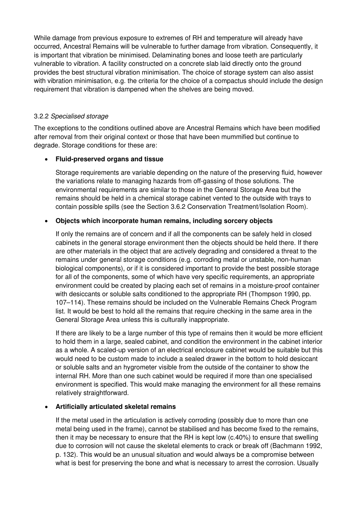While damage from previous exposure to extremes of RH and temperature will already have occurred, Ancestral Remains will be vulnerable to further damage from vibration. Consequently, it is important that vibration be minimised. Delaminating bones and loose teeth are particularly vulnerable to vibration. A facility constructed on a concrete slab laid directly onto the ground provides the best structural vibration minimisation. The choice of storage system can also assist with vibration minimisation, e.g. the criteria for the choice of a compactus should include the design requirement that vibration is dampened when the shelves are being moved.

### 3.2.2 *Specialised storage*

The exceptions to the conditions outlined above are Ancestral Remains which have been modified after removal from their original context or those that have been mummified but continue to degrade. Storage conditions for these are:

#### • Fluid-preserved organs and tissue

Storage requirements are variable depending on the nature of the preserving fluid, however the variations relate to managing hazards from off-gassing of those solutions. The environmental requirements are similar to those in the General Storage Area but the remains should be held in a chemical storage cabinet vented to the outside with trays to contain possible spills (see the Section 3.6.2 Conservation Treatment/Isolation Room).

### • Objects which incorporate human remains, including sorcery objects

If only the remains are of concern and if all the components can be safely held in closed cabinets in the general storage environment then the objects should be held there. If there are other materials in the object that are actively degrading and considered a threat to the remains under general storage conditions (e.g. corroding metal or unstable, non-human biological components), or if it is considered important to provide the best possible storage for all of the components, some of which have very specific requirements, an appropriate environment could be created by placing each set of remains in a moisture-proof container with desiccants or soluble salts conditioned to the appropriate RH (Thompson 1990, pp. 107–114). These remains should be included on the Vulnerable Remains Check Program list. It would be best to hold all the remains that require checking in the same area in the General Storage Area unless this is culturally inappropriate.

If there are likely to be a large number of this type of remains then it would be more efficient to hold them in a large, sealed cabinet, and condition the environment in the cabinet interior as a whole. A scaled-up version of an electrical enclosure cabinet would be suitable but this would need to be custom made to include a sealed drawer in the bottom to hold desiccant or soluble salts and an hygrometer visible from the outside of the container to show the internal RH. More than one such cabinet would be required if more than one specialised environment is specified. This would make managing the environment for all these remains relatively straightforward.

#### • Artificially articulated skeletal remains

If the metal used in the articulation is actively corroding (possibly due to more than one metal being used in the frame), cannot be stabilised and has become fixed to the remains, then it may be necessary to ensure that the RH is kept low (c.40%) to ensure that swelling due to corrosion will not cause the skeletal elements to crack or break off (Bachmann 1992, p. 132). This would be an unusual situation and would always be a compromise between what is best for preserving the bone and what is necessary to arrest the corrosion. Usually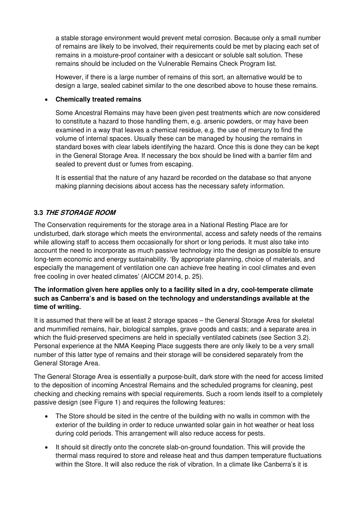a stable storage environment would prevent metal corrosion. Because only a small number of remains are likely to be involved, their requirements could be met by placing each set of remains in a moisture-proof container with a desiccant or soluble salt solution. These remains should be included on the Vulnerable Remains Check Program list.

However, if there is a large number of remains of this sort, an alternative would be to design a large, sealed cabinet similar to the one described above to house these remains.

### • Chemically treated remains

Some Ancestral Remains may have been given pest treatments which are now considered to constitute a hazard to those handling them, e.g. arsenic powders, or may have been examined in a way that leaves a chemical residue, e.g. the use of mercury to find the volume of internal spaces. Usually these can be managed by housing the remains in standard boxes with clear labels identifying the hazard. Once this is done they can be kept in the General Storage Area. If necessary the box should be lined with a barrier film and sealed to prevent dust or fumes from escaping.

It is essential that the nature of any hazard be recorded on the database so that anyone making planning decisions about access has the necessary safety information.

# 3.3 THE STORAGE ROOM

The Conservation requirements for the storage area in a National Resting Place are for undisturbed, dark storage which meets the environmental, access and safety needs of the remains while allowing staff to access them occasionally for short or long periods. It must also take into account the need to incorporate as much passive technology into the design as possible to ensure long-term economic and energy sustainability. 'By appropriate planning, choice of materials, and especially the management of ventilation one can achieve free heating in cool climates and even free cooling in over heated climates' (AICCM 2014, p. 25).

### The information given here applies only to a facility sited in a dry, cool-temperate climate such as Canberra's and is based on the technology and understandings available at the time of writing.

It is assumed that there will be at least 2 storage spaces – the General Storage Area for skeletal and mummified remains, hair, biological samples, grave goods and casts; and a separate area in which the fluid-preserved specimens are held in specially ventilated cabinets (see Section 3.2). Personal experience at the NMA Keeping Place suggests there are only likely to be a very small number of this latter type of remains and their storage will be considered separately from the General Storage Area.

The General Storage Area is essentially a purpose-built, dark store with the need for access limited to the deposition of incoming Ancestral Remains and the scheduled programs for cleaning, pest checking and checking remains with special requirements. Such a room lends itself to a completely passive design (see Figure 1) and requires the following features:

- The Store should be sited in the centre of the building with no walls in common with the exterior of the building in order to reduce unwanted solar gain in hot weather or heat loss during cold periods. This arrangement will also reduce access for pests.
- It should sit directly onto the concrete slab-on-ground foundation. This will provide the thermal mass required to store and release heat and thus dampen temperature fluctuations within the Store. It will also reduce the risk of vibration. In a climate like Canberra's it is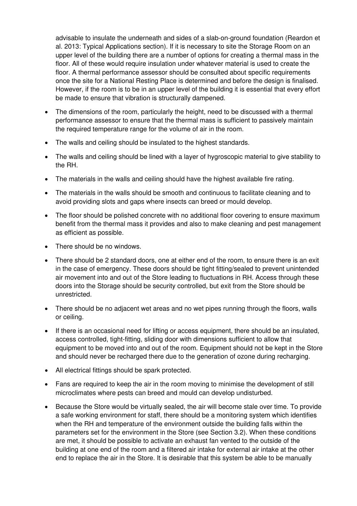advisable to insulate the underneath and sides of a slab-on-ground foundation (Reardon et al. 2013: Typical Applications section). If it is necessary to site the Storage Room on an upper level of the building there are a number of options for creating a thermal mass in the floor. All of these would require insulation under whatever material is used to create the floor. A thermal performance assessor should be consulted about specific requirements once the site for a National Resting Place is determined and before the design is finalised. However, if the room is to be in an upper level of the building it is essential that every effort be made to ensure that vibration is structurally dampened.

- The dimensions of the room, particularly the height, need to be discussed with a thermal performance assessor to ensure that the thermal mass is sufficient to passively maintain the required temperature range for the volume of air in the room.
- The walls and ceiling should be insulated to the highest standards.
- The walls and ceiling should be lined with a layer of hygroscopic material to give stability to the RH.
- The materials in the walls and ceiling should have the highest available fire rating.
- The materials in the walls should be smooth and continuous to facilitate cleaning and to avoid providing slots and gaps where insects can breed or mould develop.
- The floor should be polished concrete with no additional floor covering to ensure maximum benefit from the thermal mass it provides and also to make cleaning and pest management as efficient as possible.
- There should be no windows.
- There should be 2 standard doors, one at either end of the room, to ensure there is an exit in the case of emergency. These doors should be tight fitting/sealed to prevent unintended air movement into and out of the Store leading to fluctuations in RH. Access through these doors into the Storage should be security controlled, but exit from the Store should be unrestricted.
- There should be no adjacent wet areas and no wet pipes running through the floors, walls or ceiling.
- If there is an occasional need for lifting or access equipment, there should be an insulated, access controlled, tight-fitting, sliding door with dimensions sufficient to allow that equipment to be moved into and out of the room. Equipment should not be kept in the Store and should never be recharged there due to the generation of ozone during recharging.
- All electrical fittings should be spark protected.
- Fans are required to keep the air in the room moving to minimise the development of still microclimates where pests can breed and mould can develop undisturbed.
- Because the Store would be virtually sealed, the air will become stale over time. To provide a safe working environment for staff, there should be a monitoring system which identifies when the RH and temperature of the environment outside the building falls within the parameters set for the environment in the Store (see Section 3.2). When these conditions are met, it should be possible to activate an exhaust fan vented to the outside of the building at one end of the room and a filtered air intake for external air intake at the other end to replace the air in the Store. It is desirable that this system be able to be manually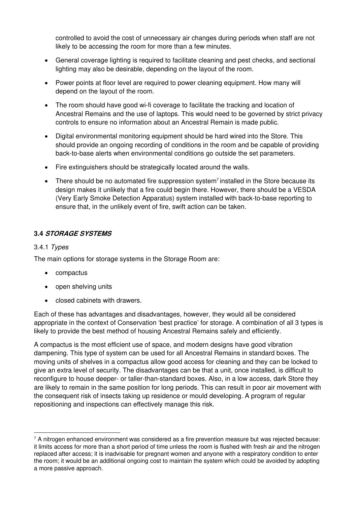controlled to avoid the cost of unnecessary air changes during periods when staff are not likely to be accessing the room for more than a few minutes.

- General coverage lighting is required to facilitate cleaning and pest checks, and sectional lighting may also be desirable, depending on the layout of the room.
- Power points at floor level are required to power cleaning equipment. How many will depend on the layout of the room.
- The room should have good wi-fi coverage to facilitate the tracking and location of Ancestral Remains and the use of laptops. This would need to be governed by strict privacy controls to ensure no information about an Ancestral Remain is made public.
- Digital environmental monitoring equipment should be hard wired into the Store. This should provide an ongoing recording of conditions in the room and be capable of providing back-to-base alerts when environmental conditions go outside the set parameters.
- Fire extinguishers should be strategically located around the walls.
- There should be no automated fire suppression system<sup>7</sup> installed in the Store because its design makes it unlikely that a fire could begin there. However, there should be a VESDA (Very Early Smoke Detection Apparatus) system installed with back-to-base reporting to ensure that, in the unlikely event of fire, swift action can be taken.

## 3.4 STORAGE SYSTEMS

#### 3.4.1 *Types*

The main options for storage systems in the Storage Room are:

- compactus
- open shelving units
- closed cabinets with drawers.

Each of these has advantages and disadvantages, however, they would all be considered appropriate in the context of Conservation 'best practice' for storage. A combination of all 3 types is likely to provide the best method of housing Ancestral Remains safely and efficiently.

A compactus is the most efficient use of space, and modern designs have good vibration dampening. This type of system can be used for all Ancestral Remains in standard boxes. The moving units of shelves in a compactus allow good access for cleaning and they can be locked to give an extra level of security. The disadvantages can be that a unit, once installed, is difficult to reconfigure to house deeper- or taller-than-standard boxes. Also, in a low access, dark Store they are likely to remain in the same position for long periods. This can result in poor air movement with the consequent risk of insects taking up residence or mould developing. A program of regular repositioning and inspections can effectively manage this risk.

 $7$  A nitrogen enhanced environment was considered as a fire prevention measure but was rejected because: it limits access for more than a short period of time unless the room is flushed with fresh air and the nitrogen replaced after access; it is inadvisable for pregnant women and anyone with a respiratory condition to enter the room; it would be an additional ongoing cost to maintain the system which could be avoided by adopting a more passive approach.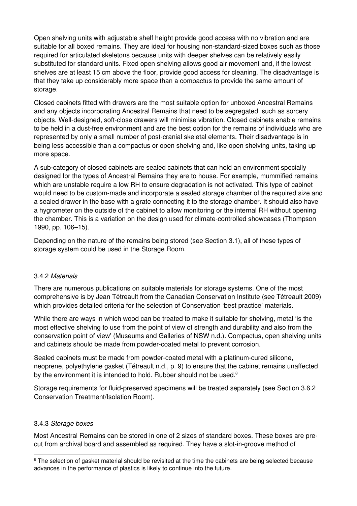Open shelving units with adjustable shelf height provide good access with no vibration and are suitable for all boxed remains. They are ideal for housing non-standard-sized boxes such as those required for articulated skeletons because units with deeper shelves can be relatively easily substituted for standard units. Fixed open shelving allows good air movement and, if the lowest shelves are at least 15 cm above the floor, provide good access for cleaning. The disadvantage is that they take up considerably more space than a compactus to provide the same amount of storage.

Closed cabinets fitted with drawers are the most suitable option for unboxed Ancestral Remains and any objects incorporating Ancestral Remains that need to be segregated, such as sorcery objects. Well-designed, soft-close drawers will minimise vibration. Closed cabinets enable remains to be held in a dust-free environment and are the best option for the remains of individuals who are represented by only a small number of post-cranial skeletal elements. Their disadvantage is in being less accessible than a compactus or open shelving and, like open shelving units, taking up more space.

A sub-category of closed cabinets are sealed cabinets that can hold an environment specially designed for the types of Ancestral Remains they are to house. For example, mummified remains which are unstable require a low RH to ensure degradation is not activated. This type of cabinet would need to be custom-made and incorporate a sealed storage chamber of the required size and a sealed drawer in the base with a grate connecting it to the storage chamber. It should also have a hygrometer on the outside of the cabinet to allow monitoring or the internal RH without opening the chamber. This is a variation on the design used for climate-controlled showcases (Thompson 1990, pp. 106–15).

Depending on the nature of the remains being stored (see Section 3.1), all of these types of storage system could be used in the Storage Room.

#### 3.4.2 *Materials*

There are numerous publications on suitable materials for storage systems. One of the most comprehensive is by Jean Tétreault from the Canadian Conservation Institute (see Tétreault 2009) which provides detailed criteria for the selection of Conservation 'best practice' materials.

While there are ways in which wood can be treated to make it suitable for shelving, metal 'is the most effective shelving to use from the point of view of strength and durability and also from the conservation point of view' (Museums and Galleries of NSW n.d.). Compactus, open shelving units and cabinets should be made from powder-coated metal to prevent corrosion.

Sealed cabinets must be made from powder-coated metal with a platinum-cured silicone, neoprene, polyethylene gasket (Tétreault n.d., p. 9) to ensure that the cabinet remains unaffected by the environment it is intended to hold. Rubber should not be used.<sup>8</sup>

Storage requirements for fluid-preserved specimens will be treated separately (see Section 3.6.2 Conservation Treatment/Isolation Room).

#### 3.4.3 *Storage boxes*

Most Ancestral Remains can be stored in one of 2 sizes of standard boxes. These boxes are precut from archival board and assembled as required. They have a slot-in-groove method of

<sup>&</sup>lt;sup>8</sup> The selection of gasket material should be revisited at the time the cabinets are being selected because advances in the performance of plastics is likely to continue into the future.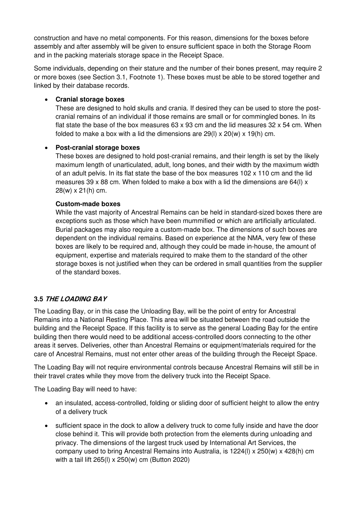construction and have no metal components. For this reason, dimensions for the boxes before assembly and after assembly will be given to ensure sufficient space in both the Storage Room and in the packing materials storage space in the Receipt Space.

Some individuals, depending on their stature and the number of their bones present, may require 2 or more boxes (see Section 3.1, Footnote 1). These boxes must be able to be stored together and linked by their database records.

### • Cranial storage boxes

These are designed to hold skulls and crania. If desired they can be used to store the postcranial remains of an individual if those remains are small or for commingled bones. In its flat state the base of the box measures  $63 \times 93$  cm and the lid measures  $32 \times 54$  cm. When folded to make a box with a lid the dimensions are  $29(1) \times 20(w) \times 19(h)$  cm.

#### • Post-cranial storage boxes

These boxes are designed to hold post-cranial remains, and their length is set by the likely maximum length of unarticulated, adult, long bones, and their width by the maximum width of an adult pelvis. In its flat state the base of the box measures 102 x 110 cm and the lid measures 39 x 88 cm. When folded to make a box with a lid the dimensions are 64(I)  $\times$ 28(w) x 21(h) cm.

#### Custom-made boxes

While the vast majority of Ancestral Remains can be held in standard-sized boxes there are exceptions such as those which have been mummified or which are artificially articulated. Burial packages may also require a custom-made box. The dimensions of such boxes are dependent on the individual remains. Based on experience at the NMA, very few of these boxes are likely to be required and, although they could be made in-house, the amount of equipment, expertise and materials required to make them to the standard of the other storage boxes is not justified when they can be ordered in small quantities from the supplier of the standard boxes.

### 3.5 THE LOADING BAY

The Loading Bay, or in this case the Unloading Bay, will be the point of entry for Ancestral Remains into a National Resting Place. This area will be situated between the road outside the building and the Receipt Space. If this facility is to serve as the general Loading Bay for the entire building then there would need to be additional access-controlled doors connecting to the other areas it serves. Deliveries, other than Ancestral Remains or equipment/materials required for the care of Ancestral Remains, must not enter other areas of the building through the Receipt Space.

The Loading Bay will not require environmental controls because Ancestral Remains will still be in their travel crates while they move from the delivery truck into the Receipt Space.

The Loading Bay will need to have:

- an insulated, access-controlled, folding or sliding door of sufficient height to allow the entry of a delivery truck
- sufficient space in the dock to allow a delivery truck to come fully inside and have the door close behind it. This will provide both protection from the elements during unloading and privacy. The dimensions of the largest truck used by International Art Services, the company used to bring Ancestral Remains into Australia, is 1224(l) x 250(w) x 428(h) cm with a tail lift 265(l) x 250(w) cm (Button 2020)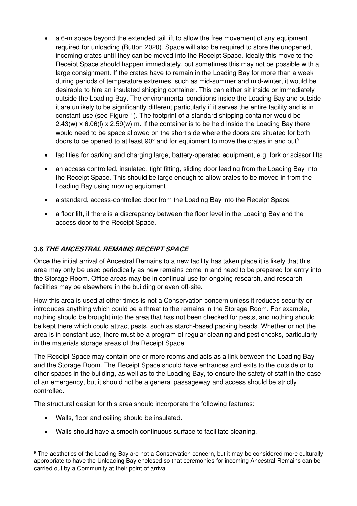- a 6-m space beyond the extended tail lift to allow the free movement of any equipment required for unloading (Button 2020). Space will also be required to store the unopened, incoming crates until they can be moved into the Receipt Space. Ideally this move to the Receipt Space should happen immediately, but sometimes this may not be possible with a large consignment. If the crates have to remain in the Loading Bay for more than a week during periods of temperature extremes, such as mid-summer and mid-winter, it would be desirable to hire an insulated shipping container. This can either sit inside or immediately outside the Loading Bay. The environmental conditions inside the Loading Bay and outside it are unlikely to be significantly different particularly if it serves the entire facility and is in constant use (see Figure 1). The footprint of a standard shipping container would be  $2.43(w) \times 6.06(l) \times 2.59(w)$  m. If the container is to be held inside the Loading Bay there would need to be space allowed on the short side where the doors are situated for both doors to be opened to at least  $90^{\circ}$  and for equipment to move the crates in and out<sup>9</sup>
- facilities for parking and charging large, battery-operated equipment, e.g. fork or scissor lifts
- an access controlled, insulated, tight fitting, sliding door leading from the Loading Bay into the Receipt Space. This should be large enough to allow crates to be moved in from the Loading Bay using moving equipment
- a standard, access-controlled door from the Loading Bay into the Receipt Space
- a floor lift, if there is a discrepancy between the floor level in the Loading Bay and the access door to the Receipt Space.

# 3.6 THE ANCESTRAL REMAINS RECEIPT SPACE

Once the initial arrival of Ancestral Remains to a new facility has taken place it is likely that this area may only be used periodically as new remains come in and need to be prepared for entry into the Storage Room. Office areas may be in continual use for ongoing research, and research facilities may be elsewhere in the building or even off-site.

How this area is used at other times is not a Conservation concern unless it reduces security or introduces anything which could be a threat to the remains in the Storage Room. For example, nothing should be brought into the area that has not been checked for pests, and nothing should be kept there which could attract pests, such as starch-based packing beads. Whether or not the area is in constant use, there must be a program of regular cleaning and pest checks, particularly in the materials storage areas of the Receipt Space.

The Receipt Space may contain one or more rooms and acts as a link between the Loading Bay and the Storage Room. The Receipt Space should have entrances and exits to the outside or to other spaces in the building, as well as to the Loading Bay, to ensure the safety of staff in the case of an emergency, but it should not be a general passageway and access should be strictly controlled.

The structural design for this area should incorporate the following features:

- Walls, floor and ceiling should be insulated.
- Walls should have a smooth continuous surface to facilitate cleaning.

<sup>&</sup>lt;sup>9</sup> The aesthetics of the Loading Bay are not a Conservation concern, but it may be considered more culturally appropriate to have the Unloading Bay enclosed so that ceremonies for incoming Ancestral Remains can be carried out by a Community at their point of arrival.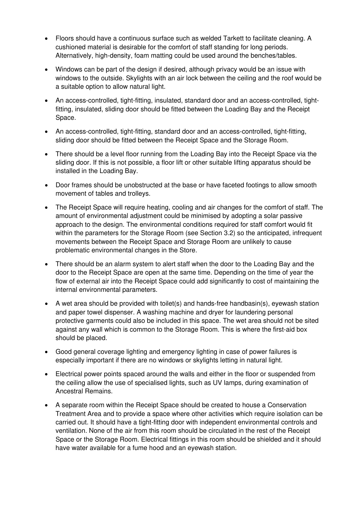- Floors should have a continuous surface such as welded Tarkett to facilitate cleaning. A cushioned material is desirable for the comfort of staff standing for long periods. Alternatively, high-density, foam matting could be used around the benches/tables.
- Windows can be part of the design if desired, although privacy would be an issue with windows to the outside. Skylights with an air lock between the ceiling and the roof would be a suitable option to allow natural light.
- An access-controlled, tight-fitting, insulated, standard door and an access-controlled, tightfitting, insulated, sliding door should be fitted between the Loading Bay and the Receipt Space.
- An access-controlled, tight-fitting, standard door and an access-controlled, tight-fitting, sliding door should be fitted between the Receipt Space and the Storage Room.
- There should be a level floor running from the Loading Bay into the Receipt Space via the sliding door. If this is not possible, a floor lift or other suitable lifting apparatus should be installed in the Loading Bay.
- Door frames should be unobstructed at the base or have faceted footings to allow smooth movement of tables and trolleys.
- The Receipt Space will require heating, cooling and air changes for the comfort of staff. The amount of environmental adjustment could be minimised by adopting a solar passive approach to the design. The environmental conditions required for staff comfort would fit within the parameters for the Storage Room (see Section 3.2) so the anticipated, infrequent movements between the Receipt Space and Storage Room are unlikely to cause problematic environmental changes in the Store.
- There should be an alarm system to alert staff when the door to the Loading Bay and the door to the Receipt Space are open at the same time. Depending on the time of year the flow of external air into the Receipt Space could add significantly to cost of maintaining the internal environmental parameters.
- A wet area should be provided with toilet(s) and hands-free handbasin(s), eyewash station and paper towel dispenser. A washing machine and dryer for laundering personal protective garments could also be included in this space. The wet area should not be sited against any wall which is common to the Storage Room. This is where the first-aid box should be placed.
- Good general coverage lighting and emergency lighting in case of power failures is especially important if there are no windows or skylights letting in natural light.
- Electrical power points spaced around the walls and either in the floor or suspended from the ceiling allow the use of specialised lights, such as UV lamps, during examination of Ancestral Remains.
- A separate room within the Receipt Space should be created to house a Conservation Treatment Area and to provide a space where other activities which require isolation can be carried out. It should have a tight-fitting door with independent environmental controls and ventilation. None of the air from this room should be circulated in the rest of the Receipt Space or the Storage Room. Electrical fittings in this room should be shielded and it should have water available for a fume hood and an eyewash station.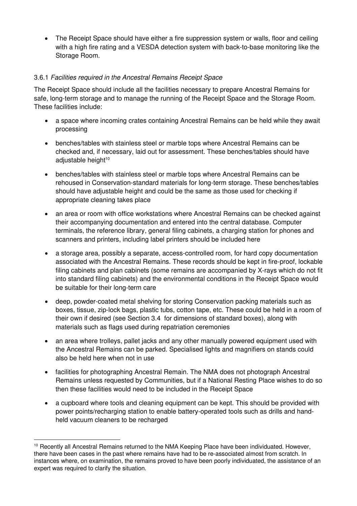• The Receipt Space should have either a fire suppression system or walls, floor and ceiling with a high fire rating and a VESDA detection system with back-to-base monitoring like the Storage Room.

### 3.6.1 *Facilities required in the Ancestral Remains Receipt Space*

The Receipt Space should include all the facilities necessary to prepare Ancestral Remains for safe, long-term storage and to manage the running of the Receipt Space and the Storage Room. These facilities include:

- a space where incoming crates containing Ancestral Remains can be held while they await processing
- benches/tables with stainless steel or marble tops where Ancestral Remains can be checked and, if necessary, laid out for assessment. These benches/tables should have adjustable height<sup>10</sup>
- benches/tables with stainless steel or marble tops where Ancestral Remains can be rehoused in Conservation-standard materials for long-term storage. These benches/tables should have adjustable height and could be the same as those used for checking if appropriate cleaning takes place
- an area or room with office workstations where Ancestral Remains can be checked against their accompanying documentation and entered into the central database. Computer terminals, the reference library, general filing cabinets, a charging station for phones and scanners and printers, including label printers should be included here
- a storage area, possibly a separate, access-controlled room, for hard copy documentation associated with the Ancestral Remains. These records should be kept in fire-proof, lockable filing cabinets and plan cabinets (some remains are accompanied by X-rays which do not fit into standard filing cabinets) and the environmental conditions in the Receipt Space would be suitable for their long-term care
- deep, powder-coated metal shelving for storing Conservation packing materials such as boxes, tissue, zip-lock bags, plastic tubs, cotton tape, etc. These could be held in a room of their own if desired (see Section 3.4 for dimensions of standard boxes), along with materials such as flags used during repatriation ceremonies
- an area where trolleys, pallet jacks and any other manually powered equipment used with the Ancestral Remains can be parked. Specialised lights and magnifiers on stands could also be held here when not in use
- facilities for photographing Ancestral Remain. The NMA does not photograph Ancestral Remains unless requested by Communities, but if a National Resting Place wishes to do so then these facilities would need to be included in the Receipt Space
- a cupboard where tools and cleaning equipment can be kept. This should be provided with power points/recharging station to enable battery-operated tools such as drills and handheld vacuum cleaners to be recharged

<sup>&</sup>lt;sup>10</sup> Recently all Ancestral Remains returned to the NMA Keeping Place have been individuated. However, there have been cases in the past where remains have had to be re-associated almost from scratch. In instances where, on examination, the remains proved to have been poorly individuated, the assistance of an expert was required to clarify the situation.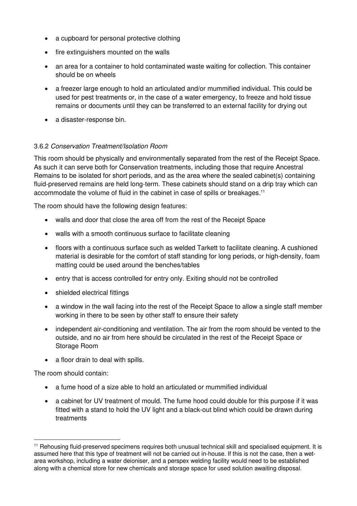- a cupboard for personal protective clothing
- fire extinguishers mounted on the walls
- an area for a container to hold contaminated waste waiting for collection. This container should be on wheels
- a freezer large enough to hold an articulated and/or mummified individual. This could be used for pest treatments or, in the case of a water emergency, to freeze and hold tissue remains or documents until they can be transferred to an external facility for drying out
- a disaster-response bin.

### 3.6.2 *Conservation Treatment/Isolation Room*

This room should be physically and environmentally separated from the rest of the Receipt Space. As such it can serve both for Conservation treatments, including those that require Ancestral Remains to be isolated for short periods, and as the area where the sealed cabinet(s) containing fluid-preserved remains are held long-term. These cabinets should stand on a drip tray which can accommodate the volume of fluid in the cabinet in case of spills or breakages.<sup>11</sup>

The room should have the following design features:

- walls and door that close the area off from the rest of the Receipt Space
- walls with a smooth continuous surface to facilitate cleaning
- floors with a continuous surface such as welded Tarkett to facilitate cleaning. A cushioned material is desirable for the comfort of staff standing for long periods, or high-density, foam matting could be used around the benches/tables
- entry that is access controlled for entry only. Exiting should not be controlled
- shielded electrical fittings
- a window in the wall facing into the rest of the Receipt Space to allow a single staff member working in there to be seen by other staff to ensure their safety
- independent air-conditioning and ventilation. The air from the room should be vented to the outside, and no air from here should be circulated in the rest of the Receipt Space or Storage Room
- a floor drain to deal with spills.

The room should contain:

- a fume hood of a size able to hold an articulated or mummified individual
- a cabinet for UV treatment of mould. The fume hood could double for this purpose if it was fitted with a stand to hold the UV light and a black-out blind which could be drawn during treatments

<sup>&</sup>lt;sup>11</sup> Rehousing fluid-preserved specimens requires both unusual technical skill and specialised equipment. It is assumed here that this type of treatment will not be carried out in-house. If this is not the case, then a wetarea workshop, including a water deioniser, and a perspex welding facility would need to be established along with a chemical store for new chemicals and storage space for used solution awaiting disposal.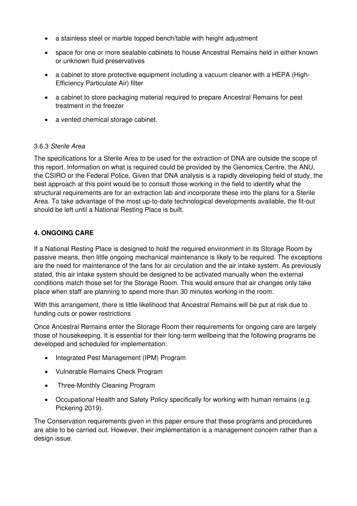- a stainless steel or marble topped bench/table with height adjustment
- space for one or more sealable cabinets to house Ancestral Remains held in either known or unknown fluid preservatives
- a cabinet to store protective equipment including a vacuum cleaner with a HEPA (High-Efficiency Particulate Air) filter
- a cabinet to store packaging material required to prepare Ancestral Remains for pest treatment in the freezer
- a vented chemical storage cabinet.

### 3.6.3 *Sterile Area*

The specifications for a Sterile Area to be used for the extraction of DNA are outside the scope of this report. Information on what is required could be provided by the Genomics Centre, the ANU, the CSIRO or the Federal Police. Given that DNA analysis is a rapidly developing field of study, the best approach at this point would be to consult those working in the field to identify what the structural requirements are for an extraction lab and incorporate these into the plans for a Sterile Area. To take advantage of the most up-to-date technological developments available, the fit-out should be left until a National Resting Place is built.

## 4. ONGOING CARE

If a National Resting Place is designed to hold the required environment in its Storage Room by passive means, then little ongoing mechanical maintenance is likely to be required. The exceptions are the need for maintenance of the fans for air circulation and the air intake system. As previously stated, this air intake system should be designed to be activated manually when the external conditions match those set for the Storage Room. This would ensure that air changes only take place when staff are planning to spend more than 30 minutes working in the room.

With this arrangement, there is little likelihood that Ancestral Remains will be put at risk due to funding cuts or power restrictions

Once Ancestral Remains enter the Storage Room their requirements for ongoing care are largely those of housekeeping. It is essential for their long-term wellbeing that the following programs be developed and scheduled for implementation:

- Integrated Pest Management (IPM) Program
- Vulnerable Remains Check Program
- Three-Monthly Cleaning Program
- Occupational Health and Safety Policy specifically for working with human remains (e.g. Pickering 2019).

The Conservation requirements given in this paper ensure that these programs and procedures are able to be carried out. However, their implementation is a management concern rather than a design issue.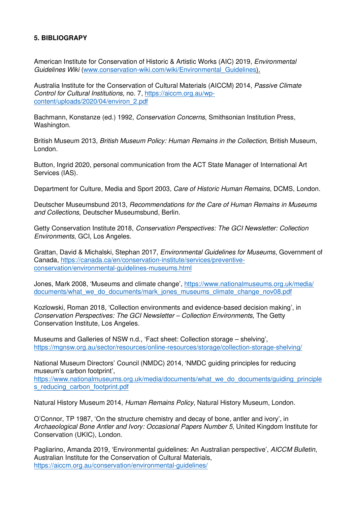### 5. BIBLIOGRAPY

American Institute for Conservation of Historic & Artistic Works (AIC) 2019, *Environmental Guidelines Wiki* (www.conservation-wiki.com/wiki/Environmental*\_*Guidelines).

Australia Institute for the Conservation of Cultural Materials (AICCM) 2014, *Passive Climate Control for Cultural Institutions*, no. 7, https://aiccm.org.au/wpcontent/uploads/2020/04/environ\_2.pdf

Bachmann, Konstanze (ed.) 1992, *Conservation Concerns*, Smithsonian Institution Press, Washington.

British Museum 2013, *British Museum Policy: Human Remains in the Collection*, British Museum, London.

Button, Ingrid 2020, personal communication from the ACT State Manager of International Art Services (IAS).

Department for Culture, Media and Sport 2003, *Care of Historic Human Remains*, DCMS, London.

Deutscher Museumsbund 2013, *Recommendations for the Care of Human Remains in Museums and Collections*, Deutscher Museumsbund, Berlin.

Getty Conservation Institute 2018, *Conservation Perspectives: The GCI Newsletter: Collection Environments*, GCI, Los Angeles.

Grattan, David & Michalski, Stephan 2017, *Environmental Guidelines for Museums*, Government of Canada, https://canada.ca/en/conservation-institute/services/preventiveconservation/environmental-guidelines-museums.html

Jones, Mark 2008, 'Museums and climate change', https://www.nationalmuseums.org.uk/media/ documents/what\_we\_do\_documents/mark\_jones\_museums\_climate\_change\_nov08.pdf

Kozlowski, Roman 2018, 'Collection environments and evidence-based decision making', in *Conservation Perspectives: The GCI Newsletter – Collection Environments*, The Getty Conservation Institute, Los Angeles.

Museums and Galleries of NSW n.d., 'Fact sheet: Collection storage – shelving', https://mgnsw.org.au/sector/resources/online-resources/storage/collection-storage-shelving/

National Museum Directors' Council (NMDC) 2014, 'NMDC guiding principles for reducing museum's carbon footprint',

https://www.nationalmuseums.org.uk/media/documents/what\_we\_do\_documents/guiding\_principle s\_reducing\_carbon\_footprint.pdf

Natural History Museum 2014, *Human Remains Policy*, Natural History Museum, London.

O'Connor, TP 1987, 'On the structure chemistry and decay of bone, antler and ivory', in *Archaeological Bone Antler and Ivory: Occasional Papers Number 5*, United Kingdom Institute for Conservation (UKIC), London.

Pagliarino, Amanda 2019, 'Environmental guidelines: An Australian perspective', *AICCM Bulletin*, Australian Institute for the Conservation of Cultural Materials, https://aiccm.org.au/conservation/environmental-guidelines/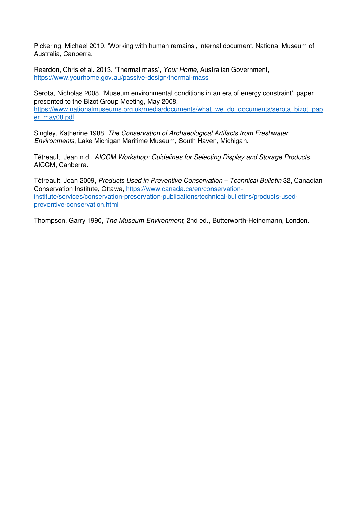Pickering, Michael 2019, 'Working with human remains', internal document, National Museum of Australia, Canberra.

Reardon, Chris et al. 2013, 'Thermal mass', *Your Home*, Australian Government, https://www.yourhome.gov.au/passive-design/thermal-mass

Serota, Nicholas 2008, 'Museum environmental conditions in an era of energy constraint', paper presented to the Bizot Group Meeting, May 2008, https://www.nationalmuseums.org.uk/media/documents/what\_we\_do\_documents/serota\_bizot\_pap er\_may08.pdf

Singley, Katherine 1988, *The Conservation of Archaeological Artifacts from Freshwater Environments*, Lake Michigan Maritime Museum, South Haven, Michigan.

Tétreault, Jean n.d., *AICCM Workshop: Guidelines for Selecting Display and Storage Product*s, AICCM, Canberra.

Tétreault, Jean 2009, *Products Used in Preventive Conservation – Technical Bulletin* 32, Canadian Conservation Institute, Ottawa, https://www.canada.ca/en/conservationinstitute/services/conservation-preservation-publications/technical-bulletins/products-usedpreventive-conservation.html

Thompson, Garry 1990, *The Museum Environment*, 2nd ed., Butterworth-Heinemann, London.